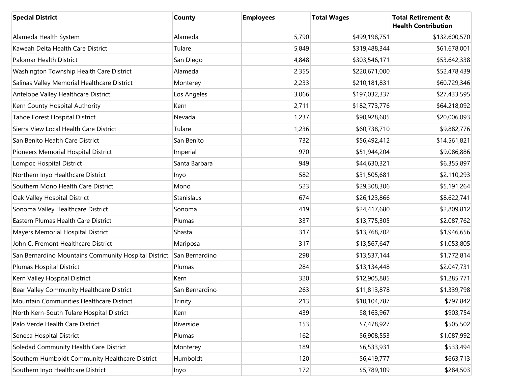| <b>Special District</b>                              | <b>County</b>  | <b>Employees</b> | <b>Total Wages</b> | <b>Total Retirement &amp;</b><br><b>Health Contribution</b> |
|------------------------------------------------------|----------------|------------------|--------------------|-------------------------------------------------------------|
| Alameda Health System                                | Alameda        | 5,790            | \$499,198,751      | \$132,600,570                                               |
| Kaweah Delta Health Care District                    | Tulare         | 5,849            | \$319,488,344      | \$61,678,001                                                |
| Palomar Health District                              | San Diego      | 4,848            | \$303,546,171      | \$53,642,338                                                |
| Washington Township Health Care District             | Alameda        | 2,355            | \$220,671,000      | \$52,478,439                                                |
| Salinas Valley Memorial Healthcare District          | Monterey       | 2,233            | \$210,181,831      | \$60,729,346                                                |
| Antelope Valley Healthcare District                  | Los Angeles    | 3,066            | \$197,032,337      | \$27,433,595                                                |
| Kern County Hospital Authority                       | Kern           | 2,711            | \$182,773,776      | \$64,218,092                                                |
| Tahoe Forest Hospital District                       | Nevada         | 1,237            | \$90,928,605       | \$20,006,093                                                |
| Sierra View Local Health Care District               | Tulare         | 1,236            | \$60,738,710       | \$9,882,776                                                 |
| San Benito Health Care District                      | San Benito     | 732              | \$56,492,412       | \$14,561,821                                                |
| Pioneers Memorial Hospital District                  | Imperial       | 970              | \$51,944,204       | \$9,086,886                                                 |
| Lompoc Hospital District                             | Santa Barbara  | 949              | \$44,630,321       | \$6,355,897                                                 |
| Northern Inyo Healthcare District                    | Inyo           | 582              | \$31,505,681       | \$2,110,293                                                 |
| Southern Mono Health Care District                   | Mono           | 523              | \$29,308,306       | \$5,191,264                                                 |
| Oak Valley Hospital District                         | Stanislaus     | 674              | \$26,123,866       | \$8,622,741                                                 |
| Sonoma Valley Healthcare District                    | Sonoma         | 419              | \$24,417,680       | \$2,809,812                                                 |
| Eastern Plumas Health Care District                  | Plumas         | 337              | \$13,775,305       | \$2,087,762                                                 |
| Mayers Memorial Hospital District                    | Shasta         | 317              | \$13,768,702       | \$1,946,656                                                 |
| John C. Fremont Healthcare District                  | Mariposa       | 317              | \$13,567,647       | \$1,053,805                                                 |
| San Bernardino Mountains Community Hospital District | San Bernardino | 298              | \$13,537,144       | \$1,772,814                                                 |
| Plumas Hospital District                             | Plumas         | 284              | \$13,134,448       | \$2,047,731                                                 |
| Kern Valley Hospital District                        | Kern           | 320              | \$12,905,885       | \$1,285,771                                                 |
| Bear Valley Community Healthcare District            | San Bernardino | 263              | \$11,813,878       | \$1,339,798                                                 |
| Mountain Communities Healthcare District             | Trinity        | 213              | \$10,104,787       | \$797,842                                                   |
| North Kern-South Tulare Hospital District            | Kern           | 439              | \$8,163,967        | \$903,754                                                   |
| Palo Verde Health Care District                      | Riverside      | 153              | \$7,478,927        | \$505,502                                                   |
| Seneca Hospital District                             | Plumas         | 162              | \$6,908,553        | \$1,087,992                                                 |
| Soledad Community Health Care District               | Monterey       | 189              | \$6,533,931        | \$533,494                                                   |
| Southern Humboldt Community Healthcare District      | Humboldt       | 120              | \$6,419,777        | \$663,713                                                   |
| Southern Inyo Healthcare District                    | Inyo           | 172              | \$5,789,109        | \$284,503                                                   |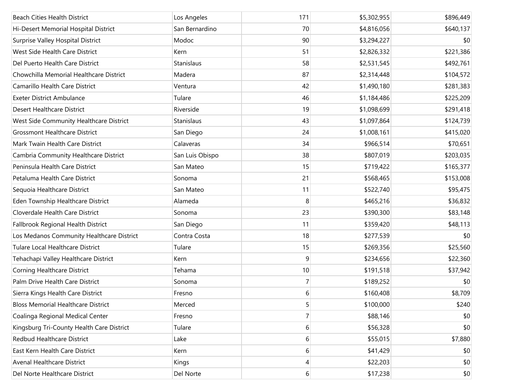| <b>Beach Cities Health District</b>       | Los Angeles     | 171            | \$5,302,955 | \$896,449 |
|-------------------------------------------|-----------------|----------------|-------------|-----------|
| Hi-Desert Memorial Hospital District      | San Bernardino  | 70             | \$4,816,056 | \$640,137 |
|                                           | Modoc           | 90             |             |           |
| Surprise Valley Hospital District         |                 |                | \$3,294,227 | \$0       |
| West Side Health Care District            | Kern            | 51             | \$2,826,332 | \$221,386 |
| Del Puerto Health Care District           | Stanislaus      | 58             | \$2,531,545 | \$492,761 |
| Chowchilla Memorial Healthcare District   | Madera          | 87             | \$2,314,448 | \$104,572 |
| Camarillo Health Care District            | Ventura         | 42             | \$1,490,180 | \$281,383 |
| <b>Exeter District Ambulance</b>          | Tulare          | 46             | \$1,184,486 | \$225,209 |
| <b>Desert Healthcare District</b>         | Riverside       | 19             | \$1,098,699 | \$291,418 |
| West Side Community Healthcare District   | Stanislaus      | 43             | \$1,097,864 | \$124,739 |
| <b>Grossmont Healthcare District</b>      | San Diego       | 24             | \$1,008,161 | \$415,020 |
| Mark Twain Health Care District           | Calaveras       | 34             | \$966,514   | \$70,651  |
| Cambria Community Healthcare District     | San Luis Obispo | 38             | \$807,019   | \$203,035 |
| Peninsula Health Care District            | San Mateo       | 15             | \$719,422   | \$165,377 |
| Petaluma Health Care District             | Sonoma          | 21             | \$568,465   | \$153,008 |
| Sequoia Healthcare District               | San Mateo       | 11             | \$522,740   | \$95,475  |
| Eden Township Healthcare District         | Alameda         | 8              | \$465,216   | \$36,832  |
| Cloverdale Health Care District           | Sonoma          | 23             | \$390,300   | \$83,148  |
| Fallbrook Regional Health District        | San Diego       | 11             | \$359,420   | \$48,113  |
| Los Medanos Community Healthcare District | Contra Costa    | 18             | \$277,539   | \$0       |
| Tulare Local Healthcare District          | Tulare          | 15             | \$269,356   | \$25,560  |
| Tehachapi Valley Healthcare District      | Kern            | 9              | \$234,656   | \$22,360  |
| Corning Healthcare District               | Tehama          | 10             | \$191,518   | \$37,942  |
| Palm Drive Health Care District           | Sonoma          | $\overline{7}$ | \$189,252   | \$0       |
| Sierra Kings Health Care District         | Fresno          | 6              | \$160,408   | \$8,709   |
| <b>Bloss Memorial Healthcare District</b> | Merced          | 5              | \$100,000   | \$240     |
| Coalinga Regional Medical Center          | Fresno          | $\overline{7}$ | \$88,146    | \$0       |
| Kingsburg Tri-County Health Care District | Tulare          | 6              | \$56,328    | \$0       |
| <b>Redbud Healthcare District</b>         | Lake            | 6              | \$55,015    | \$7,880   |
| East Kern Health Care District            | Kern            | 6              | \$41,429    | \$0       |
| Avenal Healthcare District                | Kings           | 4              | \$22,203    | \$0       |
| Del Norte Healthcare District             | Del Norte       | $6 \mid$       | \$17,238    | \$0       |